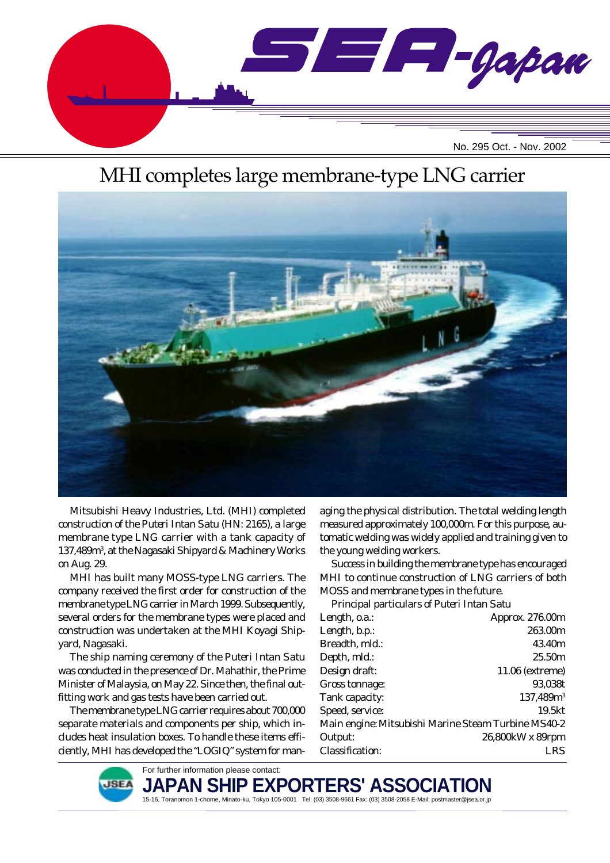

# MHI completes large membrane-type LNG carrier



Mitsubishi Heavy Industries, Ltd. (MHI) completed construction of the *Puteri Intan Satu* (HN: 2165), a large membrane type LNG carrier with a tank capacity of 137,489m<sup>3</sup>, at the Nagasaki Shipyard & Machinery Works on Aug. 29.

MHI has built many MOSS-type LNG carriers. The company received the first order for construction of the membrane type LNG carrier in March 1999. Subsequently, several orders for the membrane types were placed and construction was undertaken at the MHI Koyagi Shipyard, Nagasaki.

The ship naming ceremony of the *Puteri Intan Satu* was conducted in the presence of Dr. Mahathir, the Prime Minister of Malaysia, on May 22. Since then, the final outfitting work and gas tests have been carried out.

The membrane type LNG carrier requires about 700,000 separate materials and components per ship, which includes heat insulation boxes. To handle these items efficiently, MHI has developed the "LOGIQ" system for managing the physical distribution. The total welding length measured approximately 100,000m. For this purpose, automatic welding was widely applied and training given to the young welding workers.

Success in building the membrane type has encouraged MHI to continue construction of LNG carriers of both MOSS and membrane types in the future.

Principal particulars of *Puteri Intan Satu*

| Length, o.a.:                                       | Approx. 276.00m  |
|-----------------------------------------------------|------------------|
| Length, b.p.:                                       | 263.00m          |
| Breadth, mld.:                                      | 43.40m           |
| Depth, mld.:                                        | 25.50m           |
| Design draft:                                       | 11.06 (extreme)  |
| Gross tonnage:                                      | 93,038t          |
| Tank capacity:                                      | $137,489m^3$     |
| Speed, service:                                     | 19.5kt           |
| Main engine: Mitsubishi Marine Steam Turbine MS40-2 |                  |
| Output:                                             | 26,800kW x 89rpm |
| <b>Classification:</b>                              | I RS             |
|                                                     |                  |



For further information please contact: **JAPAN SHIP EXPOR** 15-16, Toranomon 1-chome, Minato-ku, Tokyo 105-0001 Tel: (03) 3508-9661 Fax: (03) 3508-2058 E-Mail: postmaster@jsea.or.jp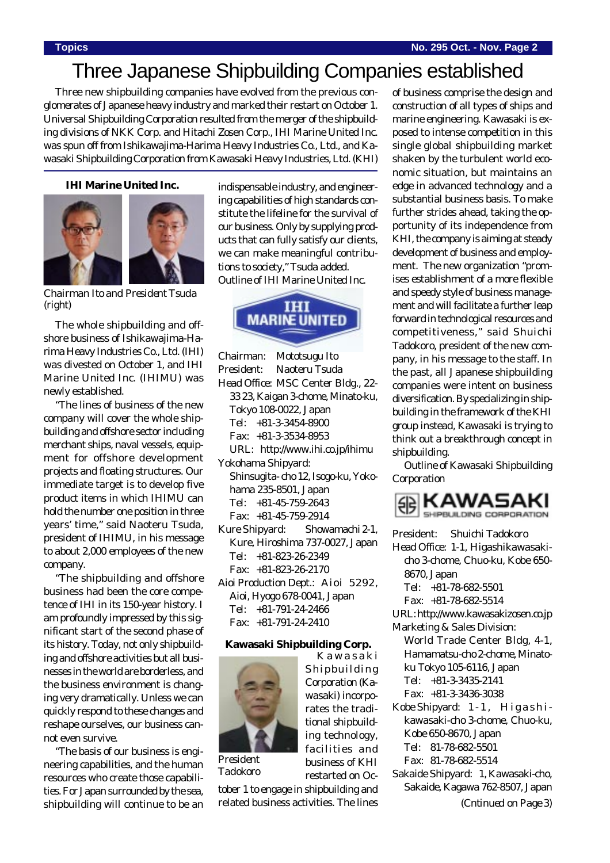## Three Japanese Shipbuilding Companies established

Three new shipbuilding companies have evolved from the previous conglomerates of Japanese heavy industry and marked their restart on October 1. Universal Shipbuilding Corporation resulted from the merger of the shipbuilding divisions of NKK Corp. and Hitachi Zosen Corp., IHI Marine United Inc. was spun off from Ishikawajima-Harima Heavy Industries Co., Ltd., and Kawasaki Shipbuilding Corporation from Kawasaki Heavy Industries, Ltd. (KHI)

**IHI Marine United Inc.**



*Chairman Ito and President Tsuda (right)*

The whole shipbuilding and offshore business of Ishikawajima-Harima Heavy Industries Co., Ltd. (IHI) was divested on October 1, and IHI Marine United Inc. (IHIMU) was newly established.

"The lines of business of the new company will cover the whole shipbuilding and offshore sector including merchant ships, naval vessels, equipment for offshore development projects and floating structures. Our immediate target is to develop five product items in which IHIMU can hold the number one position in three years' time," said Naoteru Tsuda, president of IHIMU, in his message to about 2,000 employees of the new company.

"The shipbuilding and offshore business had been the core competence of IHI in its 150-year history. I am profoundly impressed by this significant start of the second phase of its history. Today, not only shipbuilding and offshore activities but all businesses in the world are borderless, and the business environment is changing very dramatically. Unless we can quickly respond to these changes and reshape ourselves, our business cannot even survive.

"The basis of our business is engineering capabilities, and the human resources who create those capabilities. For Japan surrounded by the sea, shipbuilding will continue to be an indispensable industry, and engineering capabilities of high standards constitute the lifeline for the survival of our business. Only by supplying products that can fully satisfy our clients, we can make meaningful contributions to society," Tsuda added. Outline of IHI Marine United Inc.



Chairman: Mototsugu Ito President: Naoteru Tsuda Head Office: MSC Center Bldg., 22-

33 23, Kaigan 3-chome, Minato-ku, Tokyo 108-0022, Japan

Tel: +81-3-3454-8900

Fax: +81-3-3534-8953

- URL: http://www.ihi.co.jp/ihimu Yokohama Shipyard:
- Shinsugita- cho 12, Isogo-ku, Yokohama 235-8501, Japan Tel: +81-45-759-2643 Fax: +81-45-759-2914
- Kure Shipyard: Showamachi 2-1, Kure, Hiroshima 737-0027, Japan Tel: +81-823-26-2349 Fax: +81-823-26-2170
- Aioi Production Dept.: Aioi 5292, Aioi, Hyogo 678-0041, Japan Tel: +81-791-24-2466 Fax: +81-791-24-2410

#### **Kawasaki Shipbuilding Corp.**



*President Tadokoro* rates the traditional shipbuilding technology, facilities and business of KHI restarted on Oc-

Kawasaki Shipbuilding Corporation (Kawasaki) incorpo-

tober 1 to engage in shipbuilding and related business activities. The lines of business comprise the design and construction of all types of ships and marine engineering. Kawasaki is exposed to intense competition in this single global shipbuilding market shaken by the turbulent world economic situation, but maintains an edge in advanced technology and a substantial business basis. To make further strides ahead, taking the opportunity of its independence from KHI, the company is aiming at steady development of business and employment. The new organization "promises establishment of a more flexible and speedy style of business management and will facilitate a further leap forward in technological resources and competitiveness," said Shuichi Tadokoro, president of the new company, in his message to the staff. In the past, all Japanese shipbuilding companies were intent on business diversification. By specializing in shipbuilding in the framework of the KHI group instead, Kawasaki is trying to think out a breakthrough concept in shipbuilding.

Outline of Kawasaki Shipbuilding Corporation



President: Shuichi Tadokoro Head Office: 1-1, Higashikawasakicho 3-chome, Chuo-ku, Kobe 650- 8670, Japan Tel: +81-78-682-5501 Fax: +81-78-682-5514 URL: http://www.kawasakizosen.co.jp Marketing & Sales Division: World Trade Center Bldg, 4-1, Hamamatsu-cho 2-chome, Minatoku Tokyo 105-6116, Japan Tel: +81-3-3435-2141 Fax: +81-3-3436-3038 Kobe Shipyard: 1-1, Higashikawasaki-cho 3-chome, Chuo-ku, Kobe 650-8670, Japan Tel: 81-78-682-5501 Fax: 81-78-682-5514 Sakaide Shipyard: 1, Kawasaki-cho, Sakaide, Kagawa 762-8507, Japan

*(Cntinued on Page 3)*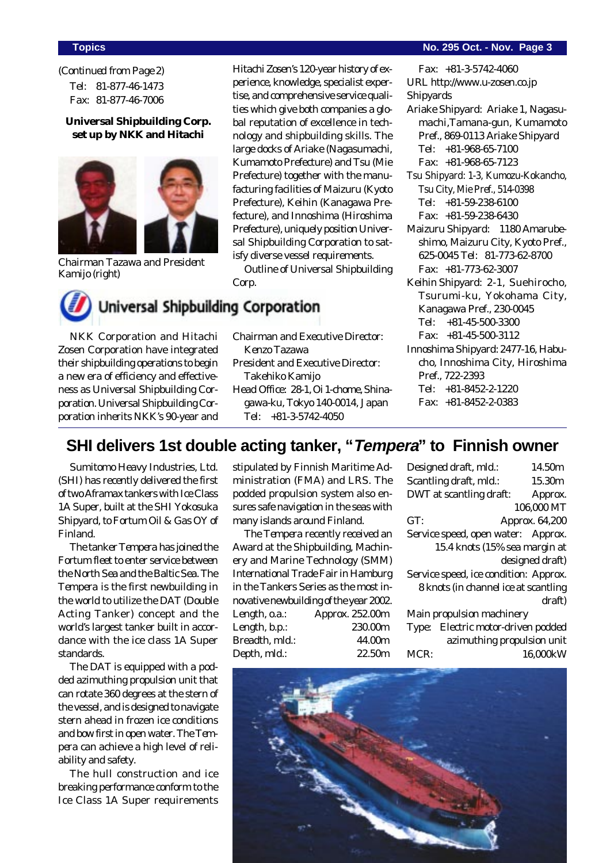Tel: 81-877-46-1473 Fax: 81-877-46-7006 *(Continued from Page 2)*

#### **Universal Shipbuilding Corp. set up by NKK and Hitachi**



*Chairman Tazawa and President Kamijo (right)*

Hitachi Zosen's 120-year history of experience, knowledge, specialist expertise, and comprehensive service qualities which give both companies a global reputation of excellence in technology and shipbuilding skills. The large docks of Ariake (Nagasumachi, Kumamoto Prefecture) and Tsu (Mie Prefecture) together with the manufacturing facilities of Maizuru (Kyoto Prefecture), Keihin (Kanagawa Prefecture), and Innoshima (Hiroshima Prefecture), uniquely position Universal Shipbuilding Corporation to satisfy diverse vessel requirements.

Outline of Universal Shipbuilding Corp.



NKK Corporation and Hitachi Zosen Corporation have integrated their shipbuilding operations to begin a new era of efficiency and effectiveness as Universal Shipbuilding Corporation. Universal Shipbuilding Corporation inherits NKK's 90-year and

- Chairman and Executive Director: Kenzo Tazawa
- President and Executive Director: Takehiko Kamijo
- Head Office: 28-1, Oi 1-chome, Shinagawa-ku, Tokyo 140-0014, Japan Tel: +81-3-5742-4050

#### **Topics No. 295 Oct. - Nov. Page 3**

Fax: +81-3-5742-4060 URL http://www.u-zosen.co.jp

- Shipyards Ariake Shipyard: Ariake 1, Nagasumachi,Tamana-gun, Kumamoto Pref., 869-0113 Ariake Shipyard Tel: +81-968-65-7100 Fax: +81-968-65-7123
- Tsu Shipyard: 1-3, Kumozu-Kokancho, Tsu City, Mie Pref., 514-0398 Tel: +81-59-238-6100 Fax: +81-59-238-6430
- Maizuru Shipyard: 1180 Amarubeshimo, Maizuru City, Kyoto Pref., 625-0045 Tel: 81-773-62-8700 Fax: +81-773-62-3007
- Keihin Shipyard: 2-1, Suehirocho, Tsurumi-ku, Yokohama City, Kanagawa Pref., 230-0045 Tel: +81-45-500-3300 Fax: +81-45-500-3112
- Innoshima Shipyard: 2477-16, Habucho, Innoshima City, Hiroshima Pref., 722-2393 Tel: +81-8452-2-1220 Fax: +81-8452-2-0383

## **SHI delivers 1st double acting tanker, "Tempera" to Finnish owner**

Sumitomo Heavy Industries, Ltd. (SHI) has recently delivered the first of two Aframax tankers with Ice Class 1A Super, built at the SHI Yokosuka Shipyard, to Fortum Oil & Gas OY of Finland.

The tanker *Tempera* has joined the Fortum fleet to enter service between the North Sea and the Baltic Sea. The *Tempera* is the first newbuilding in the world to utilize the DAT (Double Acting Tanker) concept and the world's largest tanker built in accordance with the ice class 1A Super standards.

The DAT is equipped with a podded azimuthing propulsion unit that can rotate 360 degrees at the stern of the vessel, and is designed to navigate stern ahead in frozen ice conditions and bow first in open water. The *Tempera* can achieve a high level of reliability and safety.

The hull construction and ice breaking performance conform to the Ice Class 1A Super requirements stipulated by Finnish Maritime Administration (FMA) and LRS. The podded propulsion system also ensures safe navigation in the seas with many islands around Finland.

The *Tempera* recently received an Award at the Shipbuilding, Machinery and Marine Technology (SMM) International Trade Fair in Hamburg in the Tankers Series as the most innovative newbuilding of the year 2002. Length, o.a.: Approx. 252.00m Length, b.p.: 230.00m Breadth, mld.: 44.00m Depth, mld.: 22.50m

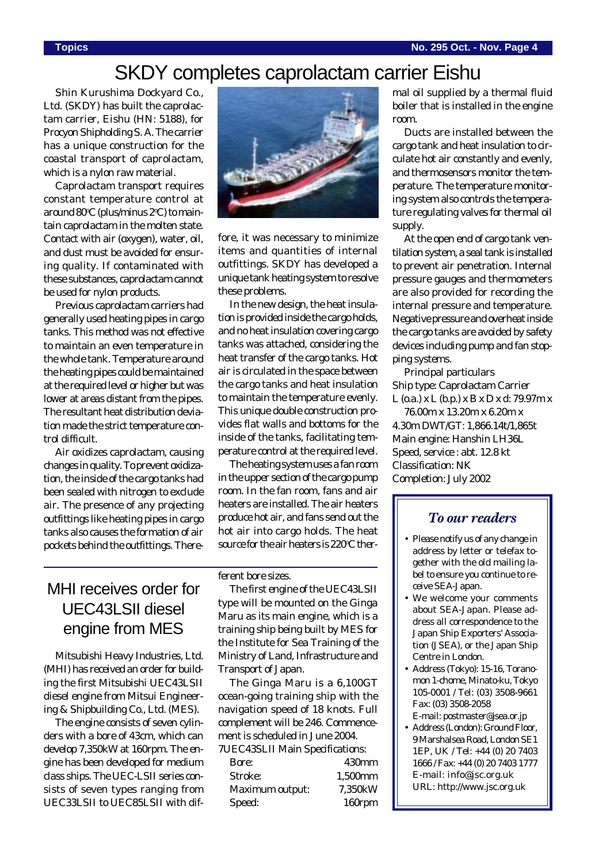## SKDY completes caprolactam carrier Eishu

Shin Kurushima Dockyard Co., Ltd. (SKDY) has built the caprolactam carrier, *Eishu* (HN: 5188), for Procyon Shipholding S. A. The carrier has a unique construction for the coastal transport of caprolactam, which is a nylon raw material.

Caprolactam transport requires constant temperature control at around 80°C (plus/minus 2°C) to maintain caprolactam in the molten state. Contact with air (oxygen), water, oil, and dust must be avoided for ensuring quality. If contaminated with these substances, caprolactam cannot be used for nylon products.

Previous caprolactam carriers had generally used heating pipes in cargo tanks. This method was not effective to maintain an even temperature in the whole tank. Temperature around the heating pipes could be maintained at the required level or higher but was lower at areas distant from the pipes. The resultant heat distribution deviation made the strict temperature control difficult.

Air oxidizes caprolactam, causing changes in quality. To prevent oxidization, the inside of the cargo tanks had been sealed with nitrogen to exclude air. The presence of any projecting outfittings like heating pipes in cargo tanks also causes the formation of air pockets behind the outfittings. There-



fore, it was necessary to minimize items and quantities of internal outfittings. SKDY has developed a unique tank heating system to resolve these problems.

In the new design, the heat insulation is provided inside the cargo holds, and no heat insulation covering cargo tanks was attached, considering the heat transfer of the cargo tanks. Hot air is circulated in the space between the cargo tanks and heat insulation to maintain the temperature evenly. This unique double construction provides flat walls and bottoms for the inside of the tanks, facilitating temperature control at the required level.

The heating system uses a fan room in the upper section of the cargo pump room. In the fan room, fans and air heaters are installed. The air heaters produce hot air, and fans send out the hot air into cargo holds. The heat source for the air heaters is 220°C ther-

## MHI receives order for UEC43LSII diesel engine from MES

Mitsubishi Heavy Industries, Ltd. (MHI) has received an order for building the first Mitsubishi UEC43LSII diesel engine from Mitsui Engineering & Shipbuilding Co., Ltd. (MES).

The engine consists of seven cylinders with a bore of 43cm, which can develop 7,350kW at 160rpm. The engine has been developed for medium class ships. The UEC-LSII series consists of seven types ranging from UEC33LSII to UEC85LSII with different bore sizes.

The first engine of the UEC43LSII type will be mounted on the *Ginga Maru* as its main engine, which is a training ship being built by MES for the Institute for Sea Training of the Ministry of Land, Infrastructure and Transport of Japan.

The Ginga Maru is a 6,100GT ocean-going training ship with the navigation speed of 18 knots. Full complement will be 246. Commencement is scheduled in June 2004. 7UEC43SLII Main Specifications:

| СЕСТОВЕН ІЙАНІ Бресінсасібны. |                   |
|-------------------------------|-------------------|
| Bore:                         | 430 <sub>mm</sub> |
| Stroke:                       | 1.500mm           |
| Maximum output:               | 7,350kW           |
| Speed:                        | 160rpm            |

mal oil supplied by a thermal fluid boiler that is installed in the engine room.

Ducts are installed between the cargo tank and heat insulation to circulate hot air constantly and evenly, and thermosensors monitor the temperature. The temperature monitoring system also controls the temperature regulating valves for thermal oil supply.

At the open end of cargo tank ventilation system, a seal tank is installed to prevent air penetration. Internal pressure gauges and thermometers are also provided for recording the internal pressure and temperature. Negative pressure and overheat inside the cargo tanks are avoided by safety devices including pump and fan stopping systems.

Principal particulars Ship type: Caprolactam Carrier  $L$  (o.a.)  $x L$  (b.p.)  $x B x D x d$ : 79.97m  $x$ 76.00m x 13.20m x 6.20m x 4.30m DWT/GT: 1,866.14t/1,865t Main engine: Hanshin LH36L Speed, service : abt. 12.8 kt Classification: NK Completion: July 2002

#### *To our readers*

- Please notify us of any change in address by letter or telefax together with the old mailing label to ensure you continue to receive SEA-Japan.
- We welcome your comments about SEA-Japan. Please address all correspondence to the Japan Ship Exporters' Association (JSEA), or the Japan Ship Centre in London.
- Address (Tokyo): 15-16, Toranomon 1-chome, Minato-ku, Tokyo 105-0001 / Tel: (03) 3508-9661 Fax: (03) 3508-2058 E-mail: postmaster@jsea.or.jp
- Address (London): Ground Floor, 9 Marshalsea Road, London SE1 1EP, UK / Tel: +44 (0) 20 7403 1666 / Fax: +44 (0) 20 7403 1777 E-mail: info@jsc.org.uk URL: http://www.jsc.org.uk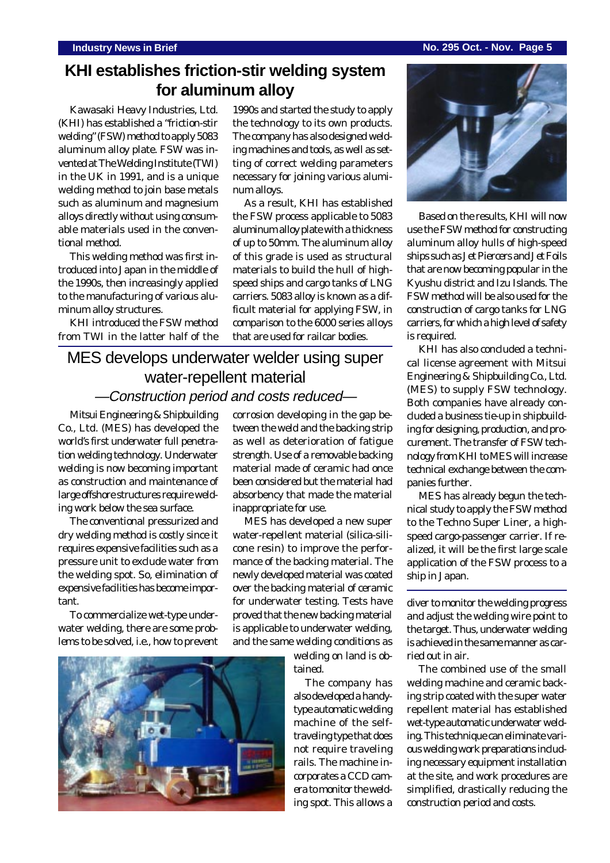#### **Industry News in Brief No. 295 Oct. - Nov. Page 5**

### **KHI establishes friction-stir welding system for aluminum alloy**

Kawasaki Heavy Industries, Ltd. (KHI) has established a "friction-stir welding" (FSW) method to apply 5083 aluminum alloy plate. FSW was invented at The Welding Institute (TWI) in the UK in 1991, and is a unique welding method to join base metals such as aluminum and magnesium alloys directly without using consumable materials used in the conventional method.

This welding method was first introduced into Japan in the middle of the 1990s, then increasingly applied to the manufacturing of various aluminum alloy structures.

KHI introduced the FSW method from TWI in the latter half of the 1990s and started the study to apply the technology to its own products. The company has also designed welding machines and tools, as well as setting of correct welding parameters necessary for joining various aluminum alloys.

As a result, KHI has established the FSW process applicable to 5083 aluminum alloy plate with a thickness of up to 50mm. The aluminum alloy of this grade is used as structural materials to build the hull of highspeed ships and cargo tanks of LNG carriers. 5083 alloy is known as a difficult material for applying FSW, in comparison to the 6000 series alloys that are used for railcar bodies.

### MES develops underwater welder using super water-repellent material —Construction period and costs reduced—

Mitsui Engineering & Shipbuilding Co., Ltd. (MES) has developed the world's first underwater full penetration welding technology. Underwater welding is now becoming important as construction and maintenance of large offshore structures require welding work below the sea surface.

The conventional pressurized and dry welding method is costly since it requires expensive facilities such as a pressure unit to exclude water from the welding spot. So, elimination of expensive facilities has become important.

To commercialize wet-type underwater welding, there are some problems to be solved, i.e., how to prevent corrosion developing in the gap between the weld and the backing strip as well as deterioration of fatigue strength. Use of a removable backing material made of ceramic had once been considered but the material had absorbency that made the material inappropriate for use.

MES has developed a new super water-repellent material (silica-silicone resin) to improve the performance of the backing material. The newly developed material was coated over the backing material of ceramic for underwater testing. Tests have proved that the new backing material is applicable to underwater welding, and the same welding conditions as

> welding on land is obtained.

The company has also developed a handytype automatic welding machine of the selftraveling type that does not require traveling rails. The machine incorporates a CCD camera to monitor the welding spot. This allows a



Based on the results, KHI will now use the FSW method for constructing aluminum alloy hulls of high-speed ships such as Jet Piercers and Jet Foils that are now becoming popular in the Kyushu district and Izu Islands. The FSW method will be also used for the construction of cargo tanks for LNG carriers, for which a high level of safety is required.

KHI has also concluded a technical license agreement with Mitsui Engineering & Shipbuilding Co., Ltd. (MES) to supply FSW technology. Both companies have already concluded a business tie-up in shipbuilding for designing, production, and procurement. The transfer of FSW technology from KHI to MES will increase technical exchange between the companies further.

MES has already begun the technical study to apply the FSW method to the Techno Super Liner, a highspeed cargo-passenger carrier. If realized, it will be the first large scale application of the FSW process to a ship in Japan.

diver to monitor the welding progress and adjust the welding wire point to the target. Thus, underwater welding is achieved in the same manner as carried out in air.

The combined use of the small welding machine and ceramic backing strip coated with the super water repellent material has established wet-type automatic underwater welding. This technique can eliminate various welding work preparations including necessary equipment installation at the site, and work procedures are simplified, drastically reducing the construction period and costs.